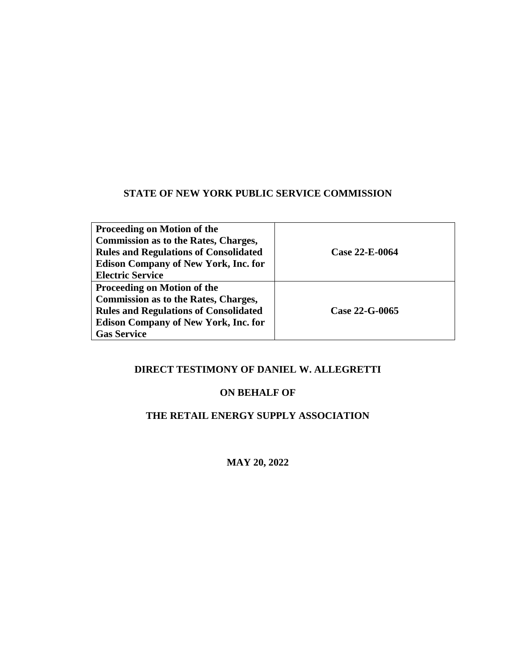#### **STATE OF NEW YORK PUBLIC SERVICE COMMISSION**

| <b>Proceeding on Motion of the</b>           |                |
|----------------------------------------------|----------------|
| <b>Commission as to the Rates, Charges,</b>  |                |
| <b>Rules and Regulations of Consolidated</b> | Case 22-E-0064 |
| <b>Edison Company of New York, Inc. for</b>  |                |
| <b>Electric Service</b>                      |                |
| <b>Proceeding on Motion of the</b>           |                |
| <b>Commission as to the Rates, Charges,</b>  |                |
| <b>Rules and Regulations of Consolidated</b> | Case 22-G-0065 |
| <b>Edison Company of New York, Inc. for</b>  |                |
| <b>Gas Service</b>                           |                |

#### **DIRECT TESTIMONY OF DANIEL W. ALLEGRETTI**

#### **ON BEHALF OF**

## **THE RETAIL ENERGY SUPPLY ASSOCIATION**

**MAY 20, 2022**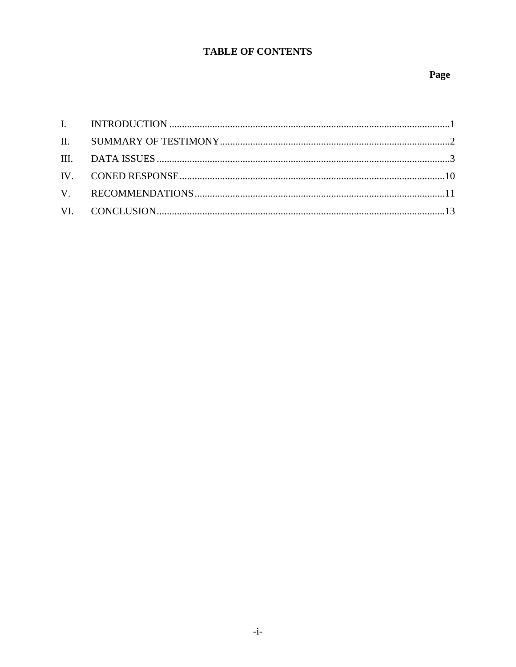## **TABLE OF CONTENTS**

#### Page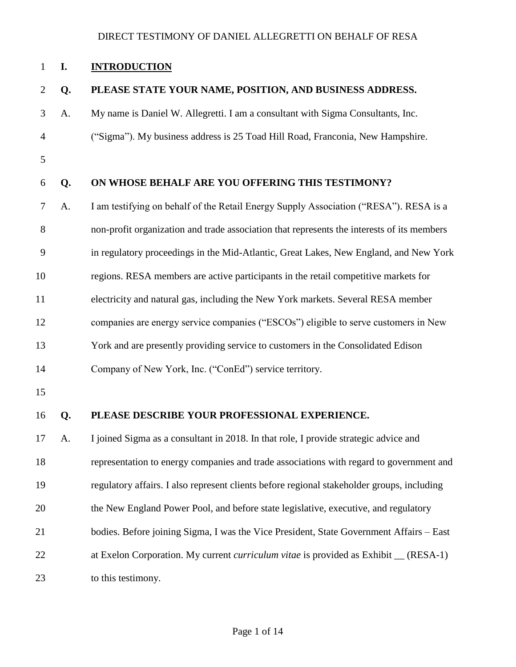#### <span id="page-2-0"></span>**I. INTRODUCTION**

#### **Q. PLEASE STATE YOUR NAME, POSITION, AND BUSINESS ADDRESS.**

- A. My name is Daniel W. Allegretti. I am a consultant with Sigma Consultants, Inc.
- ("Sigma"). My business address is 25 Toad Hill Road, Franconia, New Hampshire.
- 

#### **Q. ON WHOSE BEHALF ARE YOU OFFERING THIS TESTIMONY?**

- A. I am testifying on behalf of the Retail Energy Supply Association ("RESA"). RESA is a non-profit organization and trade association that represents the interests of its members in regulatory proceedings in the Mid-Atlantic, Great Lakes, New England, and New York regions. RESA members are active participants in the retail competitive markets for electricity and natural gas, including the New York markets. Several RESA member companies are energy service companies ("ESCOs") eligible to serve customers in New York and are presently providing service to customers in the Consolidated Edison
- Company of New York, Inc. ("ConEd") service territory.
- 

#### **Q. PLEASE DESCRIBE YOUR PROFESSIONAL EXPERIENCE.**

 A. I joined Sigma as a consultant in 2018. In that role, I provide strategic advice and representation to energy companies and trade associations with regard to government and regulatory affairs. I also represent clients before regional stakeholder groups, including the New England Power Pool, and before state legislative, executive, and regulatory bodies. Before joining Sigma, I was the Vice President, State Government Affairs – East 22 at Exelon Corporation. My current *curriculum vitae* is provided as Exhibit (RESA-1) to this testimony.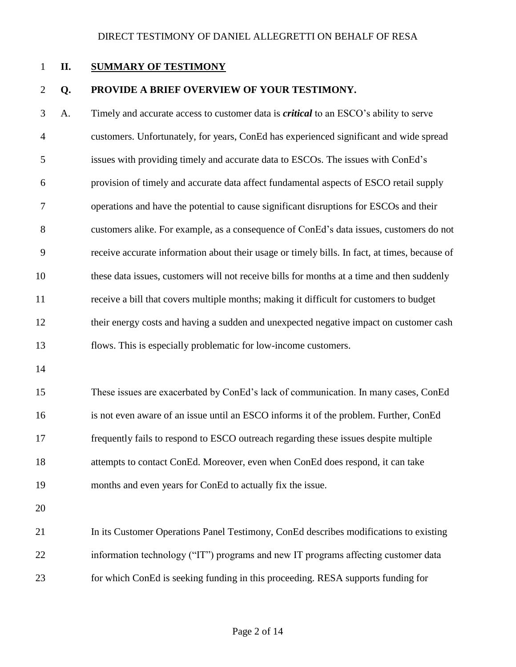#### <span id="page-3-0"></span>**II. SUMMARY OF TESTIMONY**

#### **Q. PROVIDE A BRIEF OVERVIEW OF YOUR TESTIMONY.**

 A. Timely and accurate access to customer data is *critical* to an ESCO's ability to serve customers. Unfortunately, for years, ConEd has experienced significant and wide spread issues with providing timely and accurate data to ESCOs. The issues with ConEd's provision of timely and accurate data affect fundamental aspects of ESCO retail supply operations and have the potential to cause significant disruptions for ESCOs and their customers alike. For example, as a consequence of ConEd's data issues, customers do not receive accurate information about their usage or timely bills. In fact, at times, because of these data issues, customers will not receive bills for months at a time and then suddenly receive a bill that covers multiple months; making it difficult for customers to budget their energy costs and having a sudden and unexpected negative impact on customer cash flows. This is especially problematic for low-income customers.

 These issues are exacerbated by ConEd's lack of communication. In many cases, ConEd is not even aware of an issue until an ESCO informs it of the problem. Further, ConEd frequently fails to respond to ESCO outreach regarding these issues despite multiple attempts to contact ConEd. Moreover, even when ConEd does respond, it can take months and even years for ConEd to actually fix the issue.

 In its Customer Operations Panel Testimony, ConEd describes modifications to existing information technology ("IT") programs and new IT programs affecting customer data for which ConEd is seeking funding in this proceeding. RESA supports funding for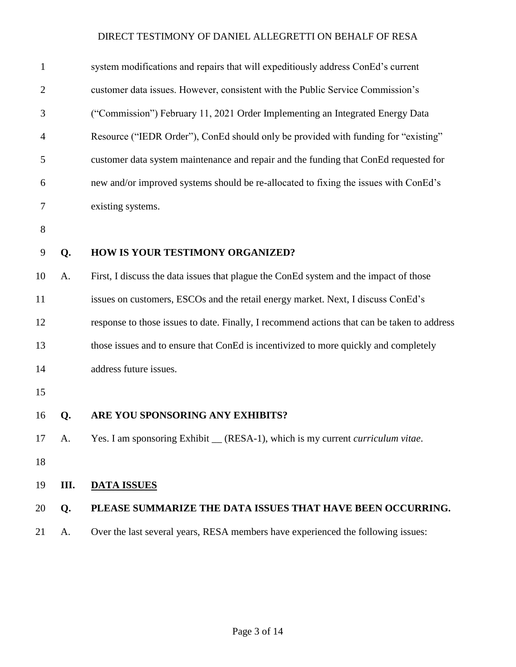<span id="page-4-0"></span>

| $\mathbf{1}$   |      | system modifications and repairs that will expeditiously address ConEd's current            |
|----------------|------|---------------------------------------------------------------------------------------------|
| $\overline{c}$ |      | customer data issues. However, consistent with the Public Service Commission's              |
| 3              |      | ("Commission") February 11, 2021 Order Implementing an Integrated Energy Data               |
| 4              |      | Resource ("IEDR Order"), ConEd should only be provided with funding for "existing"          |
| 5              |      | customer data system maintenance and repair and the funding that ConEd requested for        |
| 6              |      | new and/or improved systems should be re-allocated to fixing the issues with ConEd's        |
| 7              |      | existing systems.                                                                           |
| 8              |      |                                                                                             |
| 9              | Q.   | HOW IS YOUR TESTIMONY ORGANIZED?                                                            |
| 10             | A.   | First, I discuss the data issues that plague the ConEd system and the impact of those       |
| 11             |      | issues on customers, ESCOs and the retail energy market. Next, I discuss ConEd's            |
| 12             |      | response to those issues to date. Finally, I recommend actions that can be taken to address |
| 13             |      | those issues and to ensure that ConEd is incentivized to more quickly and completely        |
| 14             |      | address future issues.                                                                      |
| 15             |      |                                                                                             |
| 16             | Q.   | ARE YOU SPONSORING ANY EXHIBITS?                                                            |
| 17             | A.   | Yes. I am sponsoring Exhibit _ (RESA-1), which is my current <i>curriculum vitae</i> .      |
| 18             |      |                                                                                             |
| 19             | III. | <b>DATA ISSUES</b>                                                                          |
| 20             | Q.   | PLEASE SUMMARIZE THE DATA ISSUES THAT HAVE BEEN OCCURRING.                                  |
| 21             | A.   | Over the last several years, RESA members have experienced the following issues:            |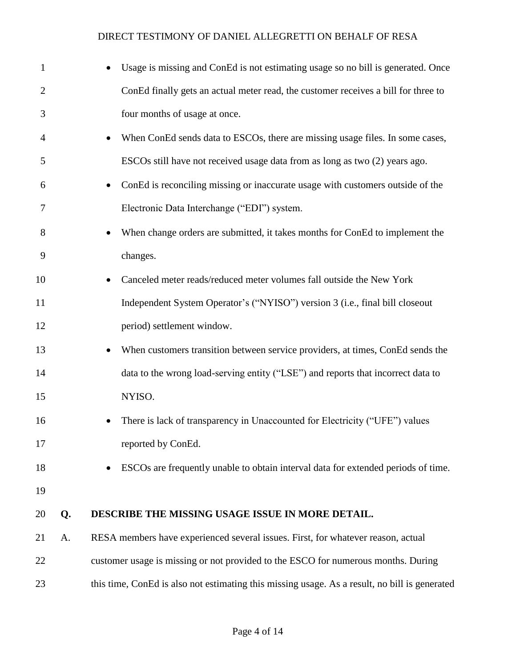| $\mathbf{1}$   |    | Usage is missing and ConEd is not estimating usage so no bill is generated. Once              |
|----------------|----|-----------------------------------------------------------------------------------------------|
| $\overline{2}$ |    | ConEd finally gets an actual meter read, the customer receives a bill for three to            |
| 3              |    | four months of usage at once.                                                                 |
| $\overline{4}$ |    | When ConEd sends data to ESCOs, there are missing usage files. In some cases,                 |
| 5              |    | ESCOs still have not received usage data from as long as two (2) years ago.                   |
| 6              |    | ConEd is reconciling missing or inaccurate usage with customers outside of the<br>$\bullet$   |
| 7              |    | Electronic Data Interchange ("EDI") system.                                                   |
| 8              |    | When change orders are submitted, it takes months for ConEd to implement the                  |
| 9              |    | changes.                                                                                      |
| 10             |    | Canceled meter reads/reduced meter volumes fall outside the New York                          |
| 11             |    | Independent System Operator's ("NYISO") version 3 (i.e., final bill closeout                  |
| 12             |    | period) settlement window.                                                                    |
| 13             |    | When customers transition between service providers, at times, ConEd sends the                |
| 14             |    | data to the wrong load-serving entity ("LSE") and reports that incorrect data to              |
| 15             |    | NYISO.                                                                                        |
| 16             |    | There is lack of transparency in Unaccounted for Electricity ("UFE") values                   |
| 17             |    | reported by ConEd.                                                                            |
| 18             |    | ESCOs are frequently unable to obtain interval data for extended periods of time.             |
| 19             |    |                                                                                               |
| 20             | Q. | DESCRIBE THE MISSING USAGE ISSUE IN MORE DETAIL.                                              |
| 21             | A. | RESA members have experienced several issues. First, for whatever reason, actual              |
| 22             |    | customer usage is missing or not provided to the ESCO for numerous months. During             |
| 23             |    | this time, ConEd is also not estimating this missing usage. As a result, no bill is generated |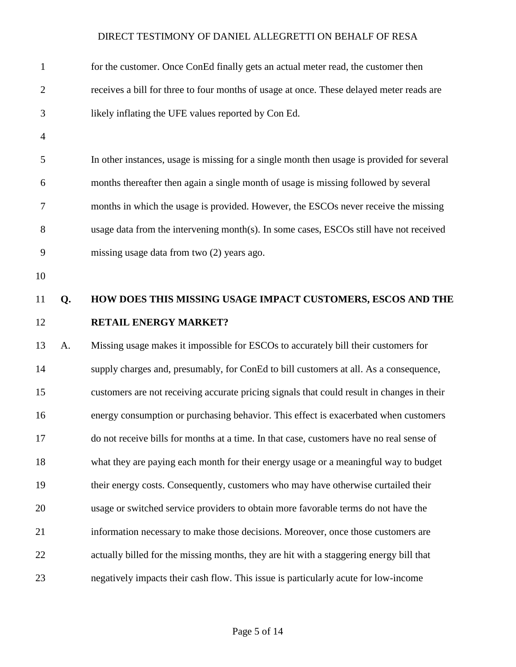| $\mathbf{1}$   |    | for the customer. Once ConEd finally gets an actual meter read, the customer then          |
|----------------|----|--------------------------------------------------------------------------------------------|
| $\overline{c}$ |    | receives a bill for three to four months of usage at once. These delayed meter reads are   |
| 3              |    | likely inflating the UFE values reported by Con Ed.                                        |
| $\overline{4}$ |    |                                                                                            |
| 5              |    | In other instances, usage is missing for a single month then usage is provided for several |
| 6              |    | months thereafter then again a single month of usage is missing followed by several        |
| 7              |    | months in which the usage is provided. However, the ESCOs never receive the missing        |
| 8              |    | usage data from the intervening month(s). In some cases, ESCOs still have not received     |
| 9              |    | missing usage data from two (2) years ago.                                                 |
| 10             |    |                                                                                            |
| 11             | Q. | HOW DOES THIS MISSING USAGE IMPACT CUSTOMERS, ESCOS AND THE                                |
| 12             |    | <b>RETAIL ENERGY MARKET?</b>                                                               |
| 13             | A. | Missing usage makes it impossible for ESCOs to accurately bill their customers for         |
| 14             |    | supply charges and, presumably, for ConEd to bill customers at all. As a consequence,      |
| 15             |    | customers are not receiving accurate pricing signals that could result in changes in their |
| 16             |    | energy consumption or purchasing behavior. This effect is exacerbated when customers       |
| 17             |    | do not receive bills for months at a time. In that case, customers have no real sense of   |
| 18             |    | what they are paying each month for their energy usage or a meaningful way to budget       |
| 19             |    | their energy costs. Consequently, customers who may have otherwise curtailed their         |
| 20             |    | usage or switched service providers to obtain more favorable terms do not have the         |
| 21             |    | information necessary to make those decisions. Moreover, once those customers are          |
| 22             |    | actually billed for the missing months, they are hit with a staggering energy bill that    |
| 23             |    | negatively impacts their cash flow. This issue is particularly acute for low-income        |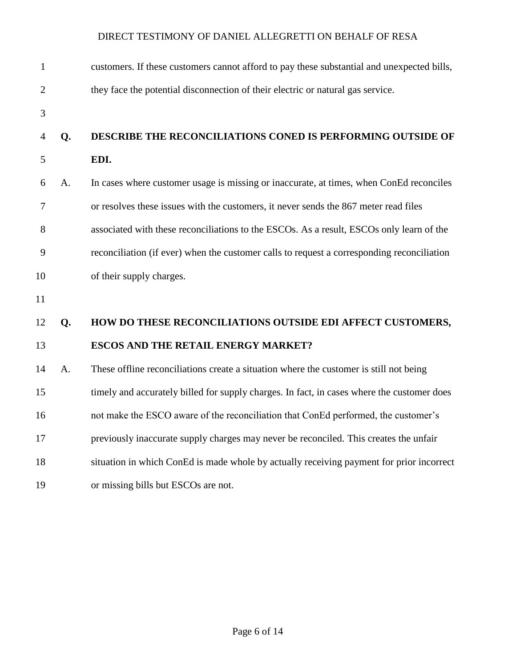| $\mathbf{1}$   |    | customers. If these customers cannot afford to pay these substantial and unexpected bills, |
|----------------|----|--------------------------------------------------------------------------------------------|
| $\overline{2}$ |    | they face the potential disconnection of their electric or natural gas service.            |
| 3              |    |                                                                                            |
| $\overline{4}$ | Q. | DESCRIBE THE RECONCILIATIONS CONED IS PERFORMING OUTSIDE OF                                |
| 5              |    | EDI.                                                                                       |
| 6              | A. | In cases where customer usage is missing or inaccurate, at times, when ConEd reconciles    |
| 7              |    | or resolves these issues with the customers, it never sends the 867 meter read files       |
| 8              |    | associated with these reconciliations to the ESCOs. As a result, ESCOs only learn of the   |
| 9              |    | reconciliation (if ever) when the customer calls to request a corresponding reconciliation |
| 10             |    | of their supply charges.                                                                   |
| 11             |    |                                                                                            |
| 12             | Q. | HOW DO THESE RECONCILIATIONS OUTSIDE EDI AFFECT CUSTOMERS,                                 |
| 13             |    | <b>ESCOS AND THE RETAIL ENERGY MARKET?</b>                                                 |
| 14             | A. | These offline reconciliations create a situation where the customer is still not being     |
| 15             |    | timely and accurately billed for supply charges. In fact, in cases where the customer does |
| 16             |    | not make the ESCO aware of the reconciliation that ConEd performed, the customer's         |
| 17             |    | previously inaccurate supply charges may never be reconciled. This creates the unfair      |
| 18             |    | situation in which ConEd is made whole by actually receiving payment for prior incorrect   |
| 19             |    | or missing bills but ESCOs are not.                                                        |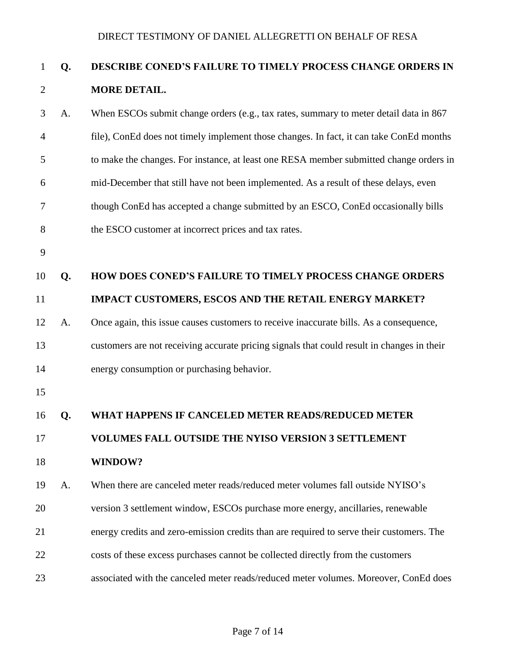# **Q. DESCRIBE CONED'S FAILURE TO TIMELY PROCESS CHANGE ORDERS IN MORE DETAIL.**

| 3  | A. | When ESCOs submit change orders (e.g., tax rates, summary to meter detail data in 867      |
|----|----|--------------------------------------------------------------------------------------------|
| 4  |    | file), ConEd does not timely implement those changes. In fact, it can take ConEd months    |
| 5  |    | to make the changes. For instance, at least one RESA member submitted change orders in     |
| 6  |    | mid-December that still have not been implemented. As a result of these delays, even       |
| 7  |    | though ConEd has accepted a change submitted by an ESCO, ConEd occasionally bills          |
| 8  |    | the ESCO customer at incorrect prices and tax rates.                                       |
| 9  |    |                                                                                            |
| 10 | Q. | HOW DOES CONED'S FAILURE TO TIMELY PROCESS CHANGE ORDERS                                   |
| 11 |    | IMPACT CUSTOMERS, ESCOS AND THE RETAIL ENERGY MARKET?                                      |
| 12 | A. | Once again, this issue causes customers to receive inaccurate bills. As a consequence,     |
| 13 |    | customers are not receiving accurate pricing signals that could result in changes in their |
| 14 |    | energy consumption or purchasing behavior.                                                 |
| 15 |    |                                                                                            |
| 16 | Q. | WHAT HAPPENS IF CANCELED METER READS/REDUCED METER                                         |
| 17 |    | <b>VOLUMES FALL OUTSIDE THE NYISO VERSION 3 SETTLEMENT</b>                                 |
| 18 |    | WINDOW?                                                                                    |
| 19 | A. | When there are canceled meter reads/reduced meter volumes fall outside NYISO's             |
| 20 |    | version 3 settlement window, ESCOs purchase more energy, ancillaries, renewable            |
|    |    |                                                                                            |

- costs of these excess purchases cannot be collected directly from the customers
- associated with the canceled meter reads/reduced meter volumes. Moreover, ConEd does

energy credits and zero-emission credits than are required to serve their customers. The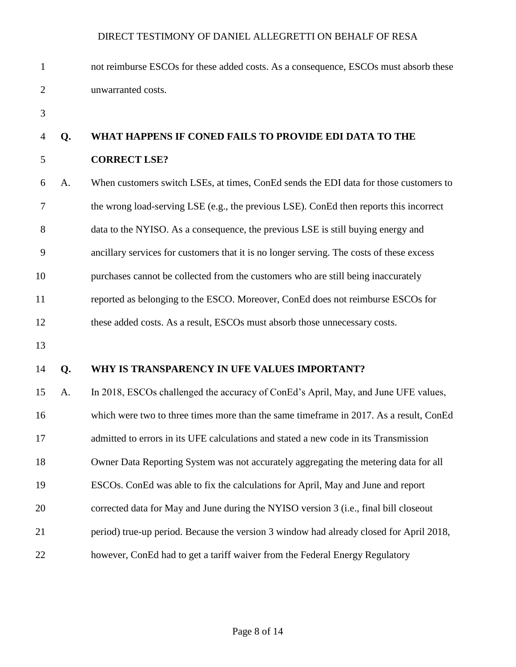| $\mathbf{1}$   |    | not reimburse ESCOs for these added costs. As a consequence, ESCOs must absorb these     |
|----------------|----|------------------------------------------------------------------------------------------|
| $\overline{2}$ |    | unwarranted costs.                                                                       |
| 3              |    |                                                                                          |
| 4              | Q. | WHAT HAPPENS IF CONED FAILS TO PROVIDE EDI DATA TO THE                                   |
| 5              |    | <b>CORRECT LSE?</b>                                                                      |
| 6              | A. | When customers switch LSEs, at times, ConEd sends the EDI data for those customers to    |
| 7              |    | the wrong load-serving LSE (e.g., the previous LSE). ConEd then reports this incorrect   |
| 8              |    | data to the NYISO. As a consequence, the previous LSE is still buying energy and         |
| 9              |    | ancillary services for customers that it is no longer serving. The costs of these excess |
| 10             |    | purchases cannot be collected from the customers who are still being inaccurately        |
| 11             |    | reported as belonging to the ESCO. Moreover, ConEd does not reimburse ESCOs for          |
| 12             |    | these added costs. As a result, ESCOs must absorb those unnecessary costs.               |
| 13             |    |                                                                                          |
| 14             | Q. | WHY IS TRANSPARENCY IN UFE VALUES IMPORTANT?                                             |
| 15             | A. | In 2018, ESCOs challenged the accuracy of ConEd's April, May, and June UFE values,       |
| 16             |    | which were two to three times more than the same timeframe in 2017. As a result, ConEd   |
| 17             |    | admitted to errors in its UFE calculations and stated a new code in its Transmission     |
| 18             |    | Owner Data Reporting System was not accurately aggregating the metering data for all     |
| 19             |    | ESCOs. ConEd was able to fix the calculations for April, May and June and report         |
| 20             |    | corrected data for May and June during the NYISO version 3 (i.e., final bill closeout    |
| 21             |    | period) true-up period. Because the version 3 window had already closed for April 2018,  |
| 22             |    | however, ConEd had to get a tariff waiver from the Federal Energy Regulatory             |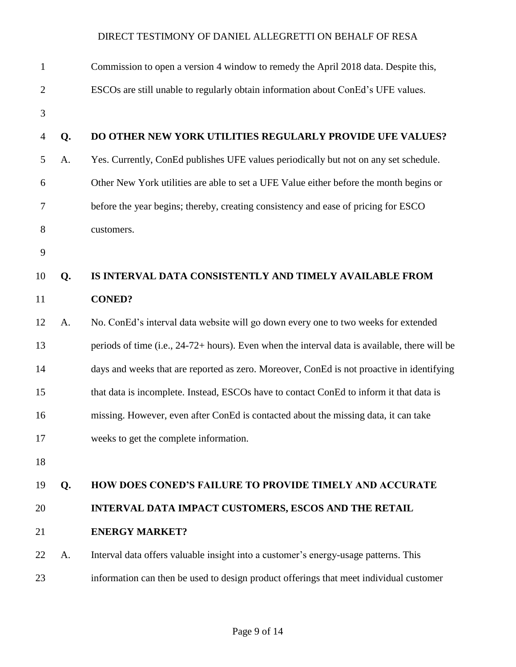| $\mathbf{1}$   |    | Commission to open a version 4 window to remedy the April 2018 data. Despite this,            |
|----------------|----|-----------------------------------------------------------------------------------------------|
| $\overline{2}$ |    | ESCOs are still unable to regularly obtain information about ConEd's UFE values.              |
| 3              |    |                                                                                               |
| $\overline{4}$ | Q. | DO OTHER NEW YORK UTILITIES REGULARLY PROVIDE UFE VALUES?                                     |
| 5              | A. | Yes. Currently, ConEd publishes UFE values periodically but not on any set schedule.          |
| 6              |    | Other New York utilities are able to set a UFE Value either before the month begins or        |
| 7              |    | before the year begins; thereby, creating consistency and ease of pricing for ESCO            |
| 8              |    | customers.                                                                                    |
| 9              |    |                                                                                               |
| 10             | Q. | IS INTERVAL DATA CONSISTENTLY AND TIMELY AVAILABLE FROM                                       |
| 11             |    | <b>CONED?</b>                                                                                 |
| 12             | A. | No. ConEd's interval data website will go down every one to two weeks for extended            |
| 13             |    | periods of time (i.e., 24-72+ hours). Even when the interval data is available, there will be |
| 14             |    | days and weeks that are reported as zero. Moreover, ConEd is not proactive in identifying     |
| 15             |    | that data is incomplete. Instead, ESCOs have to contact ConEd to inform it that data is       |
| 16             |    | missing. However, even after ConEd is contacted about the missing data, it can take           |
| 17             |    | weeks to get the complete information.                                                        |
| 18             |    |                                                                                               |
| 19             | Q. | <b>HOW DOES CONED'S FAILURE TO PROVIDE TIMELY AND ACCURATE</b>                                |
| 20             |    | INTERVAL DATA IMPACT CUSTOMERS, ESCOS AND THE RETAIL                                          |
| 21             |    | <b>ENERGY MARKET?</b>                                                                         |
| 22             | A. | Interval data offers valuable insight into a customer's energy-usage patterns. This           |
| 23             |    | information can then be used to design product offerings that meet individual customer        |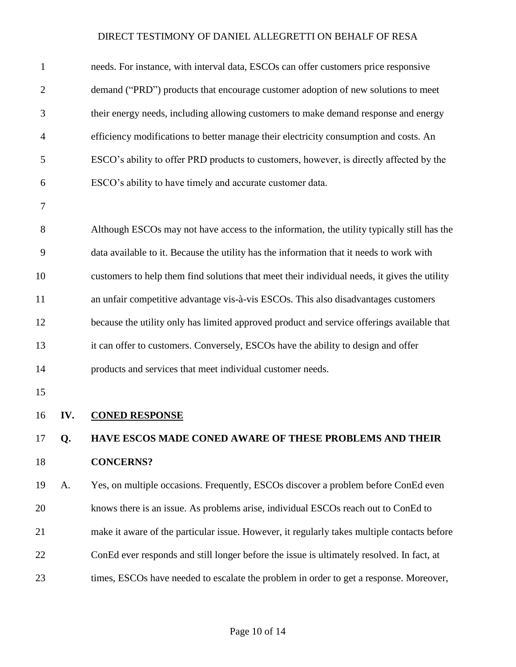<span id="page-11-0"></span>

| $\mathbf{1}$   |     | needs. For instance, with interval data, ESCOs can offer customers price responsive          |
|----------------|-----|----------------------------------------------------------------------------------------------|
| $\overline{2}$ |     | demand ("PRD") products that encourage customer adoption of new solutions to meet            |
| 3              |     | their energy needs, including allowing customers to make demand response and energy          |
| 4              |     | efficiency modifications to better manage their electricity consumption and costs. An        |
| 5              |     | ESCO's ability to offer PRD products to customers, however, is directly affected by the      |
| 6              |     | ESCO's ability to have timely and accurate customer data.                                    |
| 7              |     |                                                                                              |
| 8              |     | Although ESCOs may not have access to the information, the utility typically still has the   |
| 9              |     | data available to it. Because the utility has the information that it needs to work with     |
| 10             |     | customers to help them find solutions that meet their individual needs, it gives the utility |
| 11             |     | an unfair competitive advantage vis-à-vis ESCOs. This also disadvantages customers           |
| 12             |     | because the utility only has limited approved product and service offerings available that   |
| 13             |     | it can offer to customers. Conversely, ESCOs have the ability to design and offer            |
| 14             |     | products and services that meet individual customer needs.                                   |
| 15             |     |                                                                                              |
| 16             | IV. | <b>CONED RESPONSE</b>                                                                        |
| 17             | Q.  | HAVE ESCOS MADE CONED AWARE OF THESE PROBLEMS AND THEIR                                      |
| 18             |     | <b>CONCERNS?</b>                                                                             |
| 19             | A.  | Yes, on multiple occasions. Frequently, ESCOs discover a problem before ConEd even           |
| 20             |     | knows there is an issue. As problems arise, individual ESCOs reach out to ConEd to           |
| 21             |     | make it aware of the particular issue. However, it regularly takes multiple contacts before  |
| 22             |     | ConEd ever responds and still longer before the issue is ultimately resolved. In fact, at    |
| 23             |     | times, ESCOs have needed to escalate the problem in order to get a response. Moreover,       |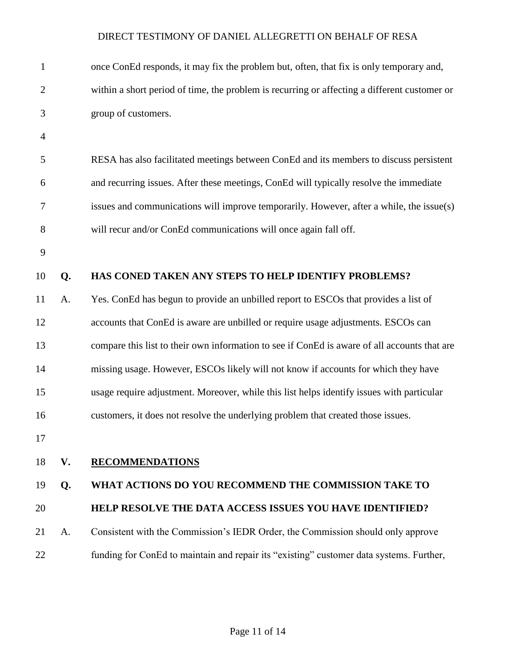<span id="page-12-0"></span>

| $\mathbf{1}$   |    | once ConEd responds, it may fix the problem but, often, that fix is only temporary and,      |
|----------------|----|----------------------------------------------------------------------------------------------|
| $\overline{c}$ |    | within a short period of time, the problem is recurring or affecting a different customer or |
| 3              |    | group of customers.                                                                          |
| $\overline{4}$ |    |                                                                                              |
| 5              |    | RESA has also facilitated meetings between ConEd and its members to discuss persistent       |
| 6              |    | and recurring issues. After these meetings, ConEd will typically resolve the immediate       |
| 7              |    | issues and communications will improve temporarily. However, after a while, the issue(s)     |
| 8              |    | will recur and/or ConEd communications will once again fall off.                             |
| 9              |    |                                                                                              |
| 10             | Q. | HAS CONED TAKEN ANY STEPS TO HELP IDENTIFY PROBLEMS?                                         |
| 11             | A. | Yes. ConEd has begun to provide an unbilled report to ESCOs that provides a list of          |
| 12             |    | accounts that ConEd is aware are unbilled or require usage adjustments. ESCOs can            |
| 13             |    | compare this list to their own information to see if ConEd is aware of all accounts that are |
| 14             |    | missing usage. However, ESCOs likely will not know if accounts for which they have           |
| 15             |    | usage require adjustment. Moreover, while this list helps identify issues with particular    |
| 16             |    | customers, it does not resolve the underlying problem that created those issues.             |
| 17             |    |                                                                                              |
| 18             | V. | <b>RECOMMENDATIONS</b>                                                                       |
| 19             | Q. | WHAT ACTIONS DO YOU RECOMMEND THE COMMISSION TAKE TO                                         |
| 20             |    | <b>HELP RESOLVE THE DATA ACCESS ISSUES YOU HAVE IDENTIFIED?</b>                              |
| 21             | A. | Consistent with the Commission's IEDR Order, the Commission should only approve              |
| 22             |    | funding for ConEd to maintain and repair its "existing" customer data systems. Further,      |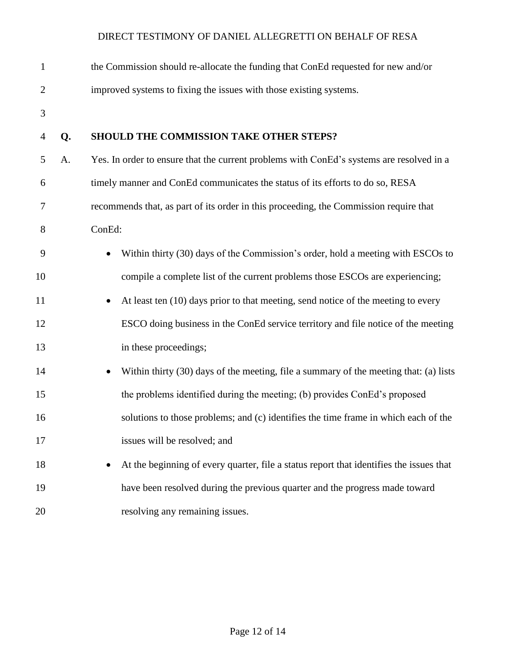| $\mathbf{1}$   |    | the Commission should re-allocate the funding that ConEd requested for new and/or        |
|----------------|----|------------------------------------------------------------------------------------------|
| $\overline{2}$ |    | improved systems to fixing the issues with those existing systems.                       |
| 3              |    |                                                                                          |
| $\overline{4}$ | Q. | SHOULD THE COMMISSION TAKE OTHER STEPS?                                                  |
| 5              | A. | Yes. In order to ensure that the current problems with ConEd's systems are resolved in a |
| 6              |    | timely manner and ConEd communicates the status of its efforts to do so, RESA            |
| 7              |    | recommends that, as part of its order in this proceeding, the Commission require that    |
| 8              |    | ConEd:                                                                                   |
| 9              |    | Within thirty (30) days of the Commission's order, hold a meeting with ESCOs to          |
| 10             |    | compile a complete list of the current problems those ESCOs are experiencing;            |
| 11             |    | At least ten (10) days prior to that meeting, send notice of the meeting to every        |
| 12             |    | ESCO doing business in the ConEd service territory and file notice of the meeting        |
| 13             |    | in these proceedings;                                                                    |
| 14             |    | Within thirty (30) days of the meeting, file a summary of the meeting that: (a) lists    |
| 15             |    | the problems identified during the meeting; (b) provides ConEd's proposed                |
| 16             |    | solutions to those problems; and (c) identifies the time frame in which each of the      |
| 17             |    | issues will be resolved; and                                                             |
| 18             |    | At the beginning of every quarter, file a status report that identifies the issues that  |
| 19             |    | have been resolved during the previous quarter and the progress made toward              |
| 20             |    | resolving any remaining issues.                                                          |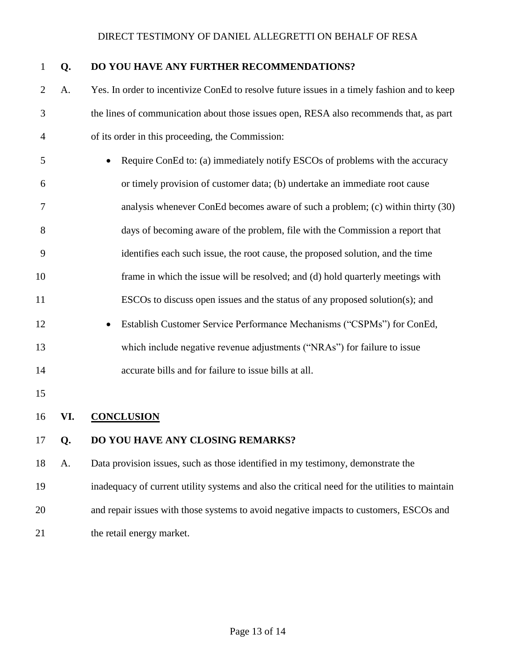| $\mathbf{1}$   | Q.  | DO YOU HAVE ANY FURTHER RECOMMENDATIONS?                                                       |
|----------------|-----|------------------------------------------------------------------------------------------------|
| $\overline{2}$ | A.  | Yes. In order to incentivize ConEd to resolve future issues in a timely fashion and to keep    |
| 3              |     | the lines of communication about those issues open, RESA also recommends that, as part         |
| $\overline{4}$ |     | of its order in this proceeding, the Commission:                                               |
| 5              |     | Require ConEd to: (a) immediately notify ESCOs of problems with the accuracy                   |
| 6              |     | or timely provision of customer data; (b) undertake an immediate root cause                    |
| 7              |     | analysis whenever ConEd becomes aware of such a problem; (c) within thirty (30)                |
| 8              |     | days of becoming aware of the problem, file with the Commission a report that                  |
| 9              |     | identifies each such issue, the root cause, the proposed solution, and the time                |
| 10             |     | frame in which the issue will be resolved; and (d) hold quarterly meetings with                |
| 11             |     | ESCOs to discuss open issues and the status of any proposed solution(s); and                   |
| 12             |     | Establish Customer Service Performance Mechanisms ("CSPMs") for ConEd,                         |
| 13             |     | which include negative revenue adjustments ("NRAs") for failure to issue                       |
| 14             |     | accurate bills and for failure to issue bills at all.                                          |
| 15             |     |                                                                                                |
| 16             | VI. | <b>CONCLUSION</b>                                                                              |
| 17             | Q.  | DO YOU HAVE ANY CLOSING REMARKS?                                                               |
| 18             | A.  | Data provision issues, such as those identified in my testimony, demonstrate the               |
| 19             |     | inadequacy of current utility systems and also the critical need for the utilities to maintain |
| 20             |     | and repair issues with those systems to avoid negative impacts to customers, ESCOs and         |
|                |     |                                                                                                |

<span id="page-14-0"></span>21 the retail energy market.